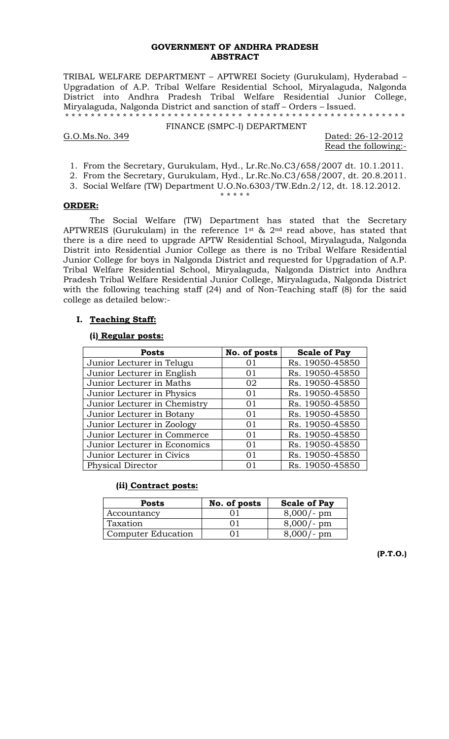#### **GOVERNMENT OF ANDHRA PRADESH ABSTRACT**

TRIBAL WELFARE DEPARTMENT – APTWREI Society (Gurukulam), Hyderabad – Upgradation of A.P. Tribal Welfare Residential School, Miryalaguda, Nalgonda District into Andhra Pradesh Tribal Welfare Residential Junior College, Miryalaguda, Nalgonda District and sanction of staff – Orders – Issued. \* \* \* \* \* \* \* \* \* \* \* \* \* \* \* \* \* \* \* \* \* \* \* \* \* \* \* \* \* \* \* \* \* \* \* \* \* \* \* \* \* \* \* \* \* \* \* \* \* \* \* \* \*

FINANCE (SMPC-I) DEPARTMENT

G.O.Ms.No. 349 Dated: 26-12-2012

Read the following:-

- 1. From the Secretary, Gurukulam, Hyd., Lr.Rc.No.C3/658/2007 dt. 10.1.2011.
- 2. From the Secretary, Gurukulam, Hyd., Lr.Rc.No.C3/658/2007, dt. 20.8.2011.
- 3. Social Welfare (TW) Department U.O.No.6303/TW.Edn.2/12, dt. 18.12.2012. \* \* \* \* \*

### **ORDER:**

 The Social Welfare (TW) Department has stated that the Secretary APTWREIS (Gurukulam) in the reference 1st & 2nd read above, has stated that there is a dire need to upgrade APTW Residential School, Miryalaguda, Nalgonda Distrit into Residential Junior College as there is no Tribal Welfare Residential Junior College for boys in Nalgonda District and requested for Upgradation of A.P. Tribal Welfare Residential School, Miryalaguda, Nalgonda District into Andhra Pradesh Tribal Welfare Residential Junior College, Miryalaguda, Nalgonda District with the following teaching staff (24) and of Non-Teaching staff (8) for the said college as detailed below:-

#### **I. Teaching Staff:**

#### **(i) Regular posts:**

| <b>Posts</b>                 | No. of posts | <b>Scale of Pay</b> |
|------------------------------|--------------|---------------------|
| Junior Lecturer in Telugu    | 01           | Rs. 19050-45850     |
| Junior Lecturer in English   | 01           | Rs. 19050-45850     |
| Junior Lecturer in Maths     | 02           | Rs. 19050-45850     |
| Junior Lecturer in Physics   | 01           | Rs. 19050-45850     |
| Junior Lecturer in Chemistry | 01           | Rs. 19050-45850     |
| Junior Lecturer in Botany    | 01           | Rs. 19050-45850     |
| Junior Lecturer in Zoology   | $\Omega$ 1   | Rs. 19050-45850     |
| Junior Lecturer in Commerce  | $\Omega$ 1   | Rs. 19050-45850     |
| Junior Lecturer in Economics | $\Omega$ 1   | Rs. 19050-45850     |
| Junior Lecturer in Civics    | 01           | Rs. 19050-45850     |
| <b>Physical Director</b>     | $\Omega$ 1   | Rs. 19050-45850     |

### **(ii) Contract posts:**

| <b>Posts</b>       | No. of posts | <b>Scale of Pay</b> |
|--------------------|--------------|---------------------|
| Accountancy        |              | 8,000/<br>$-$ pm    |
| Taxation           |              | $\cdot$ pm          |
| Computer Education |              | pm                  |